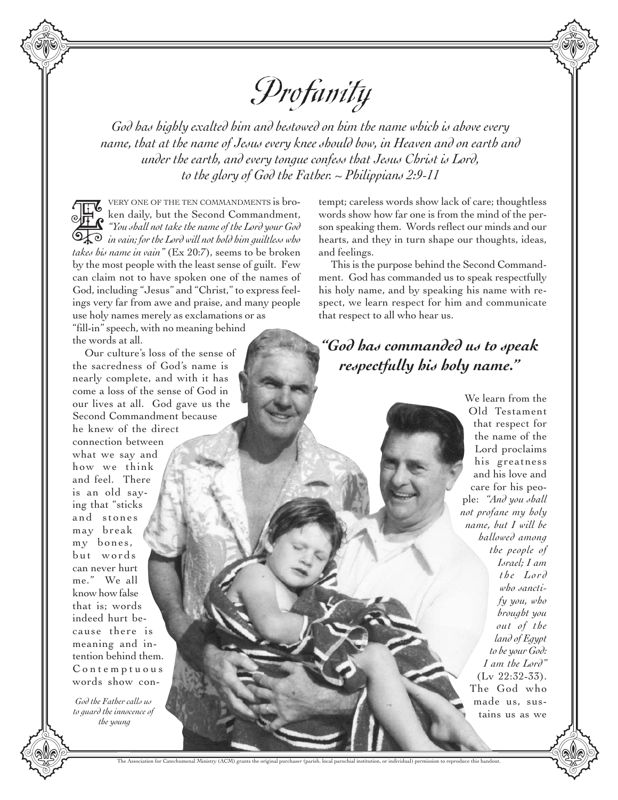

*God has highly exalted him and bestowed on him the name which is above every name, that at the name of Jesus every knee should bow, in Heaven and on earth and under the earth, and every tongue confess that Jesus Christ is Lord, to the glory of God the Father. ~ Philippians 2:9-11*

VERY ONE OF THE TEN COMMANDMENTS is broken daily, but the Second Commandment, *"You shall not take the name of the Lord your God*  **in the Lord Commandment,**<br><sup>*in vails,* but the Second Commandment,<br>**Example 1** *in vain; for the Lord will not hold him guiltless who*<br>**Example 2** *in vain; for the Lord will not hold him guiltless who*</sup> *takes his name in vain"* (Ex 20:7), seems to be broken by the most people with the least sense of guilt. Few can claim not to have spoken one of the names of God, including "Jesus" and "Christ," to express feelings very far from awe and praise, and many people use holy names merely as exclamations or as "fill-in" speech, with no meaning behind

the words at all.

Our culture's loss of the sense of the sacredness of God's name is nearly complete, and with it has come a loss of the sense of God in our lives at all. God gave us the Second Commandment because he knew of the direct connection between what we say and how we think and feel. There is an old saying that "sticks and stones may break my bones, but words can never hurt me." We all know how false that is; words indeed hurt because there is meaning and intention behind them. C o n t e m p t u o u s words show con-

*God the Father calls us to guard the innocence of the young*

tempt; careless words show lack of care; thoughtless words show how far one is from the mind of the person speaking them. Words reflect our minds and our hearts, and they in turn shape our thoughts, ideas, and feelings.

This is the purpose behind the Second Commandment. God has commanded us to speak respectfully his holy name, and by speaking his name with respect, we learn respect for him and communicate that respect to all who hear us.

## *"God has commanded us to speak respectfully his holy name."*

We learn from the Old Testament that respect for the name of the Lord proclaims his greatness and his love and care for his people: *"And you shall not profane my holy name, but I will be hallowed among the people of Israel; I am the Lord who sanctify you, who brought you out of the land of Egypt to be your God: I am the Lord"* (Lv 22:32-33). The God who made us, sustains us as we

al Ministry (ACM) grants the original purchaser (particles) purchaser (particles) permitsion to reproduce the  $\alpha$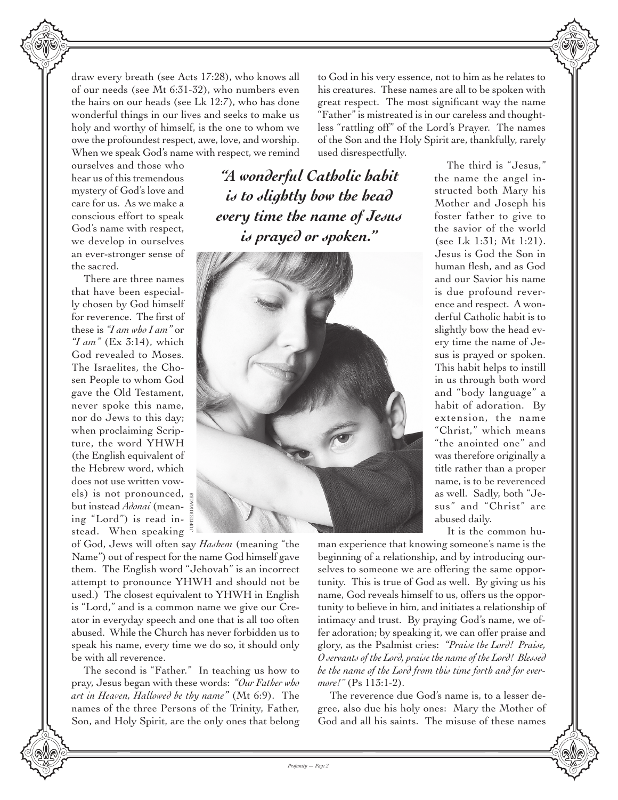draw every breath (see Acts 17:28), who knows all of our needs (see Mt 6:31-32), who numbers even the hairs on our heads (see Lk 12:7), who has done wonderful things in our lives and seeks to make us holy and worthy of himself, is the one to whom we owe the profoundest respect, awe, love, and worship. When we speak God's name with respect, we remind

ourselves and those who hear us of this tremendous mystery of God's love and care for us. As we make a conscious effort to speak God's name with respect, we develop in ourselves an ever-stronger sense of the sacred.

There are three names that have been especially chosen by God himself for reverence. The first of these is *"I am who I am* "ior  $\gamma$  *am*<sup> $\dagger$ </sup> (Ex 3:14), which God revealed to Moses. The Israelites, the Chosen People to whom God gave the Old Testament, never spoke this name, nor do Jews to this day; when proclaiming Scripture, the word YHWH (the English equivalent of the Hebrew word, which does not use written vowels) is not pronounced, but instead *Adonai* (meaning "Lord") is read instead. When speaking

*"A wonderful Catholic habit is to slightly bow the head every time the name of Jesus is prayed or spoken."*

used disrespectfully.



the name the angel instructed both Mary his Mother and Joseph his foster father to give to the savior of the world (see Lk 1:31; Mt 1:21). Jesus is God the Son in human flesh, and as God and our Savior his name is due profound reverence and respect. A wonderful Catholic habit is to slightly bow the head every time the name of Jesus is prayed or spoken. This habit helps to instill in us through both word and "body language" a habit of adoration. By extension, the name "Christ," which means "the anointed one" and was therefore originally a title rather than a proper name, is to be reverenced as well. Sadly, both "Jesus" and "Christ" are abused daily. It is the common hu-

The third is "Jesus,"

of God, Jews will often say *Hashem* (meaning "the Name") out of respect for the name God himself gave them. The English word "Jehovah" is an incorrect attempt to pronounce YHWH and should not be used.) The closest equivalent to YHWH in English is "Lord," and is a common name we give our Creator in everyday speech and one that is all too often abused. While the Church has never forbidden us to speak his name, every time we do so, it should only be with all reverence.

The second is "Father." In teaching us how to pray, Jesus began with these words: *"Our Father who art in Heaven, Hallowed be thy name*<sup>"</sup> (Mt 6:9). The names of the three Persons of the Trinity, Father, Son, and Holy Spirit, are the only ones that belong man experience that knowing someone's name is the beginning of a relationship, and by introducing ourselves to someone we are offering the same opportunity. This is true of God as well. By giving us his name, God reveals himself to us, offers us the opportunity to believe in him, and initiates a relationship of intimacy and trust. By praying God's name, we offer adoration; by speaking it, we can offer praise and glory, as the Psalmist cries: *"Praise the Lord! Praise, O servants of the Lord, praise the name of the Lord! Blessed be the name of the Lord from this time forth and for evermore!"* (Ps 113:1-2).

to God in his very essence, not to him as he relates to his creatures. These names are all to be spoken with great respect. The most significant way the name "Father" is mistreated is in our careless and thoughtless "rattling off" of the Lord's Prayer. The names of the Son and the Holy Spirit are, thankfully, rarely

The reverence due God's name is, to a lesser degree, also due his holy ones: Mary the Mother of God and all his saints. The misuse of these names